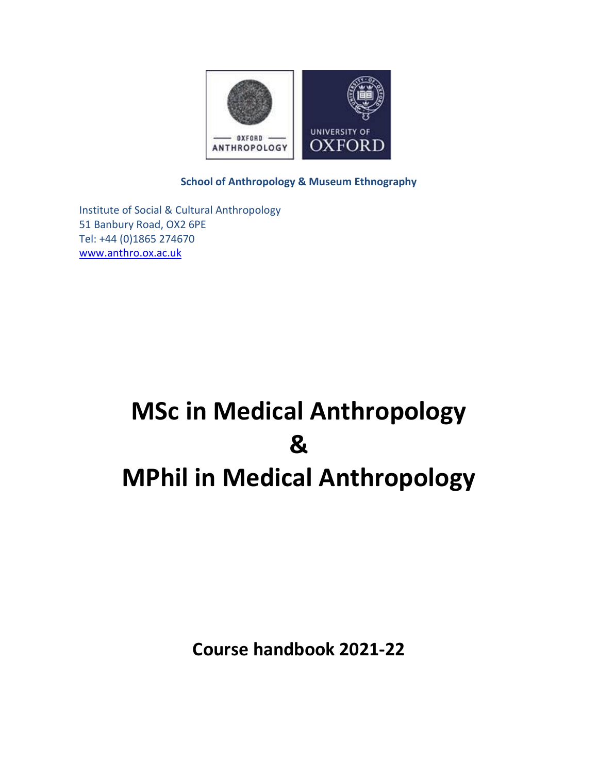

**School of Anthropology & Museum Ethnography**

Institute of Social & Cultural Anthropology 51 Banbury Road, OX2 6PE Tel: +44 (0)1865 274670 [www.anthro.ox.ac.uk](http://www.anthro.ox.ac.uk/)

# **MSc in Medical Anthropology & MPhil in Medical Anthropology**

**Course handbook 2021-22**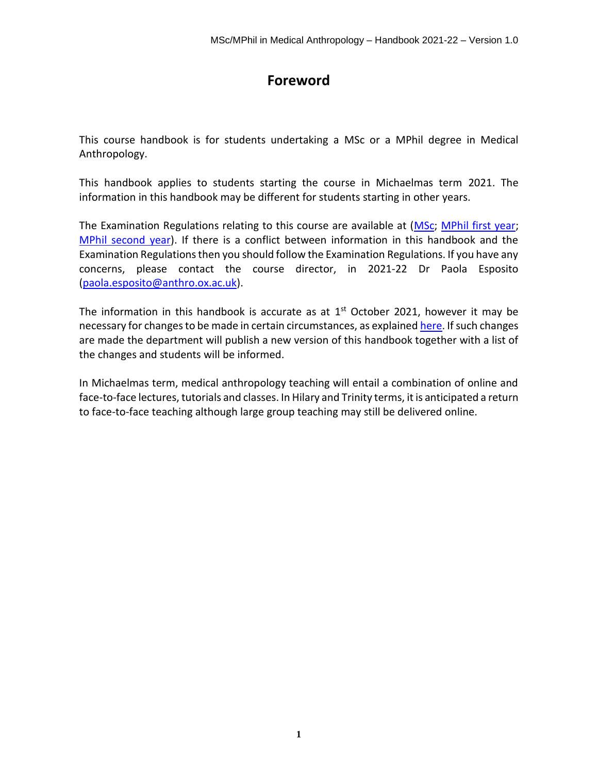# **Foreword**

This course handbook is for students undertaking a MSc or a MPhil degree in Medical Anthropology.

This handbook applies to students starting the course in Michaelmas term 2021. The information in this handbook may be different for students starting in other years.

The Examination Regulations relating to this course are available at [\(MSc;](https://www.admin.ox.ac.uk/examregs/2019-20/mosbcinmedianth/studentview/) [MPhil first year;](https://www.admin.ox.ac.uk/examregs/2019-20/mopinmedianth/studentview/) [MPhil second year\)](https://www.admin.ox.ac.uk/examregs/2019-20/mopinmedianth/studentview/). If there is a conflict between information in this handbook and the Examination Regulations then you should follow the Examination Regulations. If you have any concerns, please contact the course director, in 2021-22 Dr Paola Esposito [\(paola.esposito@anthro.ox.ac.uk\)](mailto:paola.esposito@anthro.ox.ac.uk).

The information in this handbook is accurate as at  $1<sup>st</sup>$  October 2021, however it may be necessary for changes to be made in certain circumstances, as explaine[d here.](https://www.ox.ac.uk/admissions/graduate/courses/changes-to-courses) If such changes are made the department will publish a new version of this handbook together with a list of the changes and students will be informed.

In Michaelmas term, medical anthropology teaching will entail a combination of online and face-to-face lectures, tutorials and classes. In Hilary and Trinity terms, it is anticipated a return to face-to-face teaching although large group teaching may still be delivered online.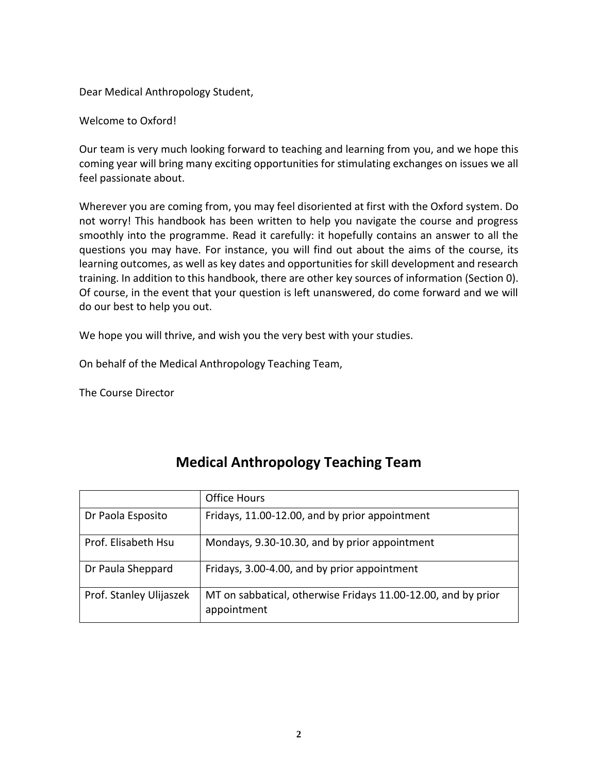Dear Medical Anthropology Student,

Welcome to Oxford!

Our team is very much looking forward to teaching and learning from you, and we hope this coming year will bring many exciting opportunities for stimulating exchanges on issues we all feel passionate about.

Wherever you are coming from, you may feel disoriented at first with the Oxford system. Do not worry! This handbook has been written to help you navigate the course and progress smoothly into the programme. Read it carefully: it hopefully contains an answer to all the questions you may have. For instance, you will find out about the aims of the course, its learning outcomes, as well as key dates and opportunities for skill development and research training. In addition to this handbook, there are other key sources of information (Section [0\)](#page-4-0). Of course, in the event that your question is left unanswered, do come forward and we will do our best to help you out.

We hope you will thrive, and wish you the very best with your studies.

On behalf of the Medical Anthropology Teaching Team,

The Course Director

|                         | <b>Office Hours</b>                                                          |
|-------------------------|------------------------------------------------------------------------------|
| Dr Paola Esposito       | Fridays, 11.00-12.00, and by prior appointment                               |
| Prof. Elisabeth Hsu     | Mondays, 9.30-10.30, and by prior appointment                                |
| Dr Paula Sheppard       | Fridays, 3.00-4.00, and by prior appointment                                 |
| Prof. Stanley Ulijaszek | MT on sabbatical, otherwise Fridays 11.00-12.00, and by prior<br>appointment |

# **Medical Anthropology Teaching Team**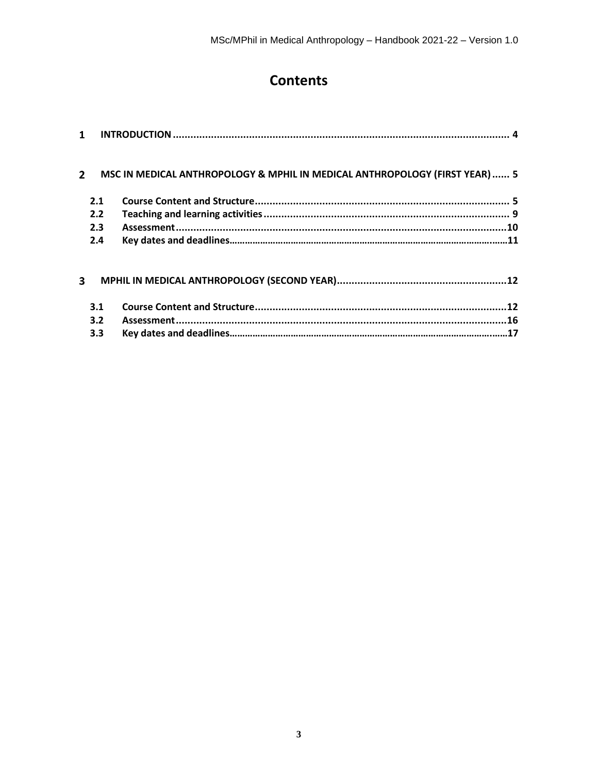# **Contents**

| 1                                                                                          |     |  |  |
|--------------------------------------------------------------------------------------------|-----|--|--|
| MSC IN MEDICAL ANTHROPOLOGY & MPHIL IN MEDICAL ANTHROPOLOGY (FIRST YEAR) 5<br>$\mathbf{2}$ |     |  |  |
|                                                                                            | 2.1 |  |  |
|                                                                                            | 2.2 |  |  |
|                                                                                            | 2.3 |  |  |
|                                                                                            | 2.4 |  |  |
| 3                                                                                          |     |  |  |
|                                                                                            | 3.1 |  |  |
|                                                                                            | 3.2 |  |  |
|                                                                                            | 3.3 |  |  |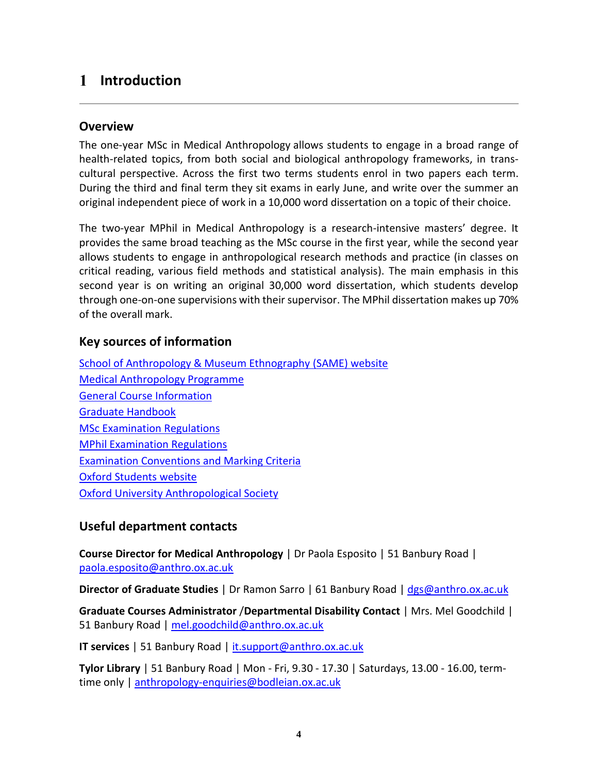# <span id="page-4-1"></span>**Introduction**

## **Overview**

The one-year MSc [in Medical Anthropology](https://www.isca.ox.ac.uk/prospective-students/degrees/medical-anthropology/msc-in-medical-anthropology/) allows students to engage in a broad range of health-related topics, from both social and biological anthropology frameworks, in transcultural perspective. Across the first two terms students enrol in two papers each term. During the third and final term they sit exams in early June, and write over the summer an original independent piece of work in a 10,000 word dissertation on a topic of their choice.

The two-year MPhil [in Medical Anthropology](https://www.isca.ox.ac.uk/prospective-students/degrees/medical-anthropology/mphil-in-medical-anthropology/) is a research-intensive masters' degree. It provides the same broad teaching as the MSc course in the first year, while the second year allows students to engage in anthropological research methods and practice (in classes on critical reading, various field methods and statistical analysis). The main emphasis in this second year is on writing an original 30,000 word dissertation, which students develop through one-on-one supervisions with their supervisor. The MPhil dissertation makes up 70% of the overall mark.

## <span id="page-4-0"></span>**Key sources of information**

[School of Anthropology & Museum Ethnography](https://www.anthro.ox.ac.uk/#/) (SAME) website [Medical Anthropology Programme](https://www.anthro.ox.ac.uk/medical-anthropology#/) [General Course Information](https://www.isca.ox.ac.uk/current-students#/) [Graduate Handbook](https://www.anthro.ox.ac.uk/graduate-handbook#/) [MSc Examination Regulations](https://examregs.admin.ox.ac.uk/Regulation?code=mosbcinmedianth&srchYear=2020&srchTerm=1&year=2019&term=1) [MPhil Examination Regulations](https://examregs.admin.ox.ac.uk/Regulation?code=mopinmedianth&srchYear=2020&srchTerm=1&year=2019&term=1) [Examination Conventions and Marking Criteria](https://www.anthro.ox.ac.uk/examination-conventions-and-marking-criteria) [Oxford Students website](https://www.ox.ac.uk/students/) [Oxford University Anthropological Society](https://www.anthro.ox.ac.uk/oxford-university-anthropological-society)

## **Useful department contacts**

**Course Director for Medical Anthropology** | Dr Paola Esposito | 51 Banbury Road | [paola.esposito@anthro.ox.ac.uk](mailto:paola.esposito@anthro.ox.ac.uk)

**Director of Graduate Studies** | Dr Ramon Sarro | 61 Banbury Road | [dgs@anthro.ox.ac.uk](mailto:dgs@anthro.ox.ac.uk)

**Graduate Courses Administrator** /**Departmental Disability Contact** | Mrs. Mel Goodchild | 51 Banbury Road | [mel.goodchild@anthro.ox.ac.uk](mailto:mel.goodchild@anthro.ox.ac.uk)

**IT services** | 51 Banbury Road | [it.support@anthro.ox.ac.uk](mailto:it.support@anthro.ox.ac.uk)

**Tylor Library** | 51 Banbury Road | Mon - Fri, 9.30 - 17.30 | Saturdays, 13.00 - 16.00, termtime only | [anthropology-enquiries@bodleian.ox.ac.uk](mailto:anthropology-enquiries@bodleian.ox.ac.uk)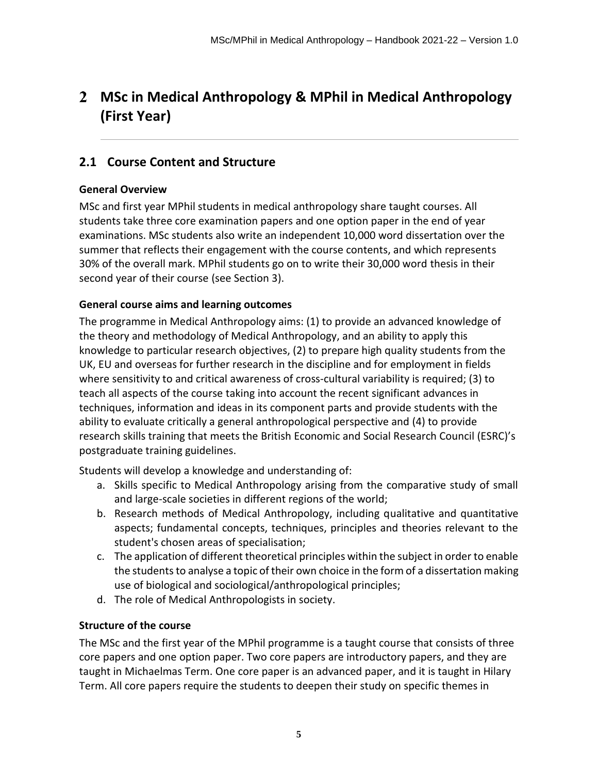# <span id="page-5-0"></span>**MSc in Medical Anthropology & MPhil in Medical Anthropology (First Year)**

## <span id="page-5-1"></span>**2.1 Course Content and Structure**

## **General Overview**

MSc and first year MPhil students in medical anthropology share taught courses. All students take three core examination papers and one option paper in the end of year examinations. MSc students also write an independent 10,000 word dissertation over the summer that reflects their engagement with the course contents, and which represents 30% of the overall mark. MPhil students go on to write their 30,000 word thesis in their second year of their course (see Section [3\)](#page-12-0).

## **General course aims and learning outcomes**

The programme in Medical Anthropology aims: (1) to provide an advanced knowledge of the theory and methodology of Medical Anthropology, and an ability to apply this knowledge to particular research objectives, (2) to prepare high quality students from the UK, EU and overseas for further research in the discipline and for employment in fields where sensitivity to and critical awareness of cross-cultural variability is required; (3) to teach all aspects of the course taking into account the recent significant advances in techniques, information and ideas in its component parts and provide students with the ability to evaluate critically a general anthropological perspective and (4) to provide research skills training that meets the British Economic and Social Research Council (ESRC)'s postgraduate training guidelines.

Students will develop a knowledge and understanding of:

- a. Skills specific to Medical Anthropology arising from the comparative study of small and large-scale societies in different regions of the world;
- b. Research methods of Medical Anthropology, including qualitative and quantitative aspects; fundamental concepts, techniques, principles and theories relevant to the student's chosen areas of specialisation;
- c. The application of different theoretical principles within the subject in order to enable the students to analyse a topic of their own choice in the form of a dissertation making use of biological and sociological/anthropological principles;
- d. The role of Medical Anthropologists in society.

## **Structure of the course**

The MSc and the first year of the MPhil programme is a taught course that consists of three core papers and one option paper. Two core papers are introductory papers, and they are taught in Michaelmas Term. One core paper is an advanced paper, and it is taught in Hilary Term. All core papers require the students to deepen their study on specific themes in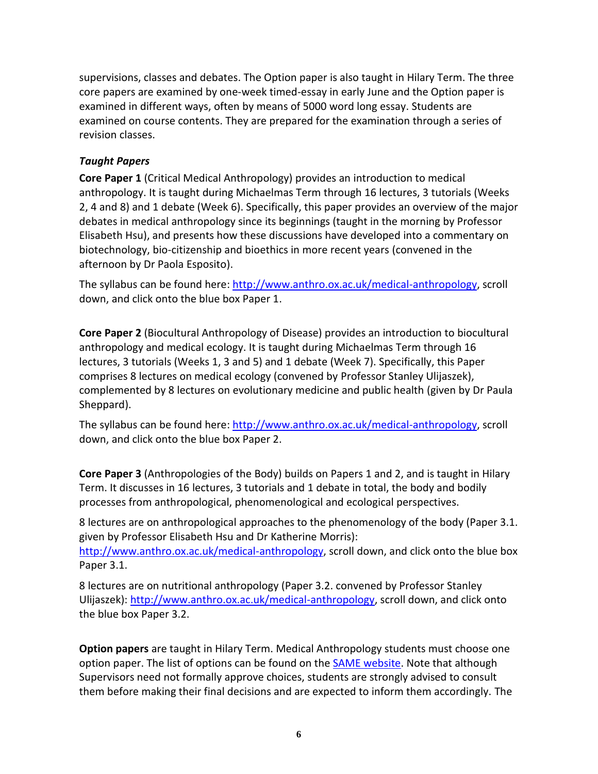supervisions, classes and debates. The Option paper is also taught in Hilary Term. The three core papers are examined by one-week timed-essay in early June and the Option paper is examined in different ways, often by means of 5000 word long essay. Students are examined on course contents. They are prepared for the examination through a series of revision classes.

## *Taught Papers*

**Core Paper 1** (Critical Medical Anthropology) provides an introduction to medical anthropology. It is taught during Michaelmas Term through 16 lectures, 3 tutorials (Weeks 2, 4 and 8) and 1 debate (Week 6). Specifically, this paper provides an overview of the major debates in medical anthropology since its beginnings (taught in the morning by Professor Elisabeth Hsu), and presents how these discussions have developed into a commentary on biotechnology, bio-citizenship and bioethics in more recent years (convened in the afternoon by Dr Paola Esposito).

The syllabus can be found here: [http://www.anthro.ox.ac.uk/medical-anthropology,](http://www.anthro.ox.ac.uk/medical-anthropology) scroll down, and click onto the blue box Paper 1.

**Core Paper 2** (Biocultural Anthropology of Disease) provides an introduction to biocultural anthropology and medical ecology. It is taught during Michaelmas Term through 16 lectures, 3 tutorials (Weeks 1, 3 and 5) and 1 debate (Week 7). Specifically, this Paper comprises 8 lectures on medical ecology (convened by Professor Stanley Ulijaszek), complemented by 8 lectures on evolutionary medicine and public health (given by Dr Paula Sheppard).

The syllabus can be found here: [http://www.anthro.ox.ac.uk/medical-anthropology,](http://www.anthro.ox.ac.uk/medical-anthropology) scroll down, and click onto the blue box Paper 2.

**Core Paper 3** (Anthropologies of the Body) builds on Papers 1 and 2, and is taught in Hilary Term. It discusses in 16 lectures, 3 tutorials and 1 debate in total, the body and bodily processes from anthropological, phenomenological and ecological perspectives.

8 lectures are on anthropological approaches to the phenomenology of the body (Paper 3.1. given by Professor Elisabeth Hsu and Dr Katherine Morris): [http://www.anthro.ox.ac.uk/medical-anthropology,](http://www.anthro.ox.ac.uk/medical-anthropology) scroll down, and click onto the blue box

Paper 3.1.

8 lectures are on nutritional anthropology (Paper 3.2. convened by Professor Stanley Ulijaszek): [http://www.anthro.ox.ac.uk/medical-anthropology,](http://www.anthro.ox.ac.uk/medical-anthropology) scroll down, and click onto the blue box Paper 3.2.

**Option papers** are taught in Hilary Term. Medical Anthropology students must choose one option paper. The list of options can be found on the SAME [website.](https://www.anthro.ox.ac.uk/options) Note that although Supervisors need not formally approve choices, students are strongly advised to consult them before making their final decisions and are expected to inform them accordingly. The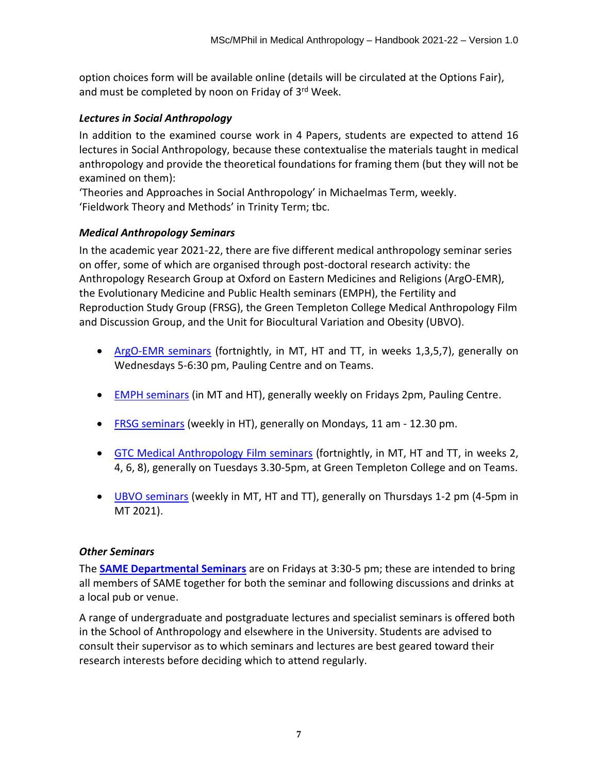option choices form will be available online (details will be circulated at the Options Fair), and must be completed by noon on Friday of 3<sup>rd</sup> Week.

## *Lectures in Social Anthropology*

In addition to the examined course work in 4 Papers, students are expected to attend 16 lectures in Social Anthropology, because these contextualise the materials taught in medical anthropology and provide the theoretical foundations for framing them (but they will not be examined on them):

'Theories and Approaches in Social Anthropology' in Michaelmas Term, weekly. 'Fieldwork Theory and Methods' in Trinity Term; tbc.

## *Medical Anthropology Seminars*

In the academic year 2021-22, there are five different medical anthropology seminar series on offer, some of which are organised through post-doctoral research activity: the Anthropology Research Group at Oxford on Eastern Medicines and Religions (ArgO-EMR), the Evolutionary Medicine and Public Health seminars (EMPH), the Fertility and Reproduction Study Group (FRSG), the Green Templeton College Medical Anthropology Film and Discussion Group, and the Unit for Biocultural Variation and Obesity (UBVO).

- [ArgO-EMR seminars](https://anthro.web.ox.ac.uk/argo-emr) (fortnightly, in MT, HT and TT, in weeks 1,3,5,7), generally on Wednesdays 5-6:30 pm, Pauling Centre and on Teams.
- [EMPH seminars](https://anthro.web.ox.ac.uk/evolutionary-medicine-and-public-health-seminars#/) (in MT and HT), generally weekly on Fridays 2pm, Pauling Centre.
- [FRSG seminars](https://anthro.web.ox.ac.uk/fertility-reproduction) (weekly in HT), generally on Mondays, 11 am 12.30 pm.
- [GTC Medical Anthropology Film seminars](https://anthro.web.ox.ac.uk/gtc-medical-anthropology-film-and-discussion-group#/tab-275191) (fortnightly, in MT, HT and TT, in weeks 2, 4, 6, 8), generally on Tuesdays 3.30-5pm, at Green Templeton College and on Teams.
- [UBVO seminars](https://www.oxfordobesity.org/seminars-and-events) (weekly in MT, HT and TT), generally on Thursdays 1-2 pm (4-5pm in MT 2021).

## *Other Seminars*

The **SAME [Departmental Seminars](https://www.anthro.ox.ac.uk/seminars-lectures-and-events#/)** are on Fridays at 3:30-5 pm; these are intended to bring all members of SAME together for both the seminar and following discussions and drinks at a local pub or venue.

A range of undergraduate and postgraduate lectures and specialist seminars is offered both in the School of Anthropology and elsewhere in the University. Students are advised to consult their supervisor as to which seminars and lectures are best geared toward their research interests before deciding which to attend regularly.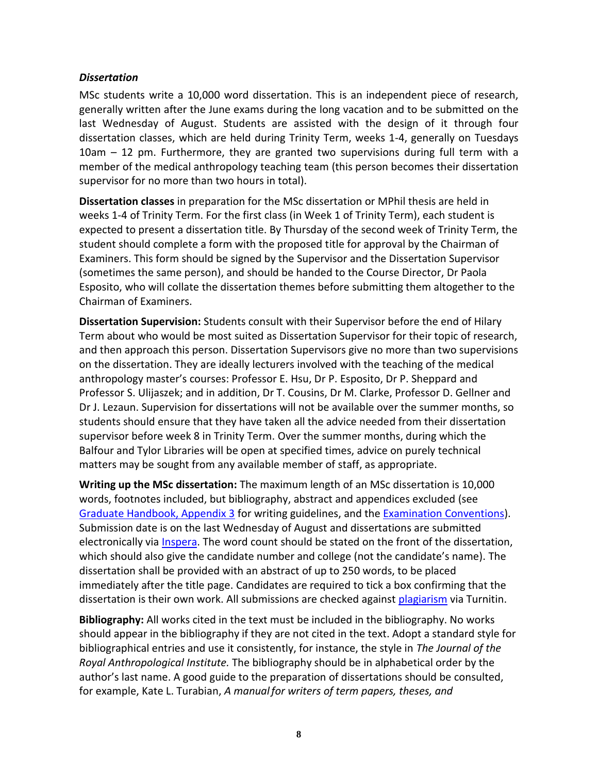#### *Dissertation*

MSc students write a 10,000 word dissertation. This is an independent piece of research, generally written after the June exams during the long vacation and to be submitted on the last Wednesday of August. Students are assisted with the design of it through four dissertation classes, which are held during Trinity Term, weeks 1-4, generally on Tuesdays 10am – 12 pm. Furthermore, they are granted two supervisions during full term with a member of the medical anthropology teaching team (this person becomes their dissertation supervisor for no more than two hours in total).

**Dissertation classes** in preparation for the MSc dissertation or MPhil thesis are held in weeks 1-4 of Trinity Term. For the first class (in Week 1 of Trinity Term), each student is expected to present a dissertation title. By Thursday of the second week of Trinity Term, the student should complete a form with the proposed title for approval by the Chairman of Examiners. This form should be signed by the Supervisor and the Dissertation Supervisor (sometimes the same person), and should be handed to the Course Director, Dr Paola Esposito, who will collate the dissertation themes before submitting them altogether to the Chairman of Examiners.

**Dissertation Supervision:** Students consult with their Supervisor before the end of Hilary Term about who would be most suited as Dissertation Supervisor for their topic of research, and then approach this person. Dissertation Supervisors give no more than two supervisions on the dissertation. They are ideally lecturers involved with the teaching of the medical anthropology master's courses: Professor E. Hsu, Dr P. Esposito, Dr P. Sheppard and Professor S. Ulijaszek; and in addition, Dr T. Cousins, Dr M. Clarke, Professor D. Gellner and Dr J. Lezaun. Supervision for dissertations will not be available over the summer months, so students should ensure that they have taken all the advice needed from their dissertation supervisor before week 8 in Trinity Term. Over the summer months, during which the Balfour and Tylor Libraries will be open at specified times, advice on purely technical matters may be sought from any available member of staff, as appropriate.

**Writing up the MSc dissertation:** The maximum length of an MSc dissertation is 10,000 words, footnotes included, but bibliography, abstract and appendices excluded (see [Graduate Handbook, Appendix 3](https://www.anthro.ox.ac.uk/appendix-3-writing-guidelines) for writing guidelines, and the [Examination Conventions\)](https://www.anthro.ox.ac.uk/examination-conventions-and-marking-criteria). Submission date is on the last Wednesday of August and dissertations are submitted electronically via *Inspera*. The word count should be stated on the front of the dissertation, which should also give the candidate number and college (not the candidate's name). The dissertation shall be provided with an abstract of up to 250 words, to be placed immediately after the title page. Candidates are required to tick a box confirming that the dissertation is their own work. All submissions are checked against [plagiarism](https://www.ox.ac.uk/students/academic/guidance/skills/plagiarism) via Turnitin.

**Bibliography:** All works cited in the text must be included in the bibliography. No works should appear in the bibliography if they are not cited in the text. Adopt a standard style for bibliographical entries and use it consistently, for instance, the style in *The Journal of the Royal Anthropological Institute.* The bibliography should be in alphabetical order by the author's last name. A good guide to the preparation of dissertations should be consulted, for example, Kate L. Turabian, *A manual for writers of term papers, theses, and*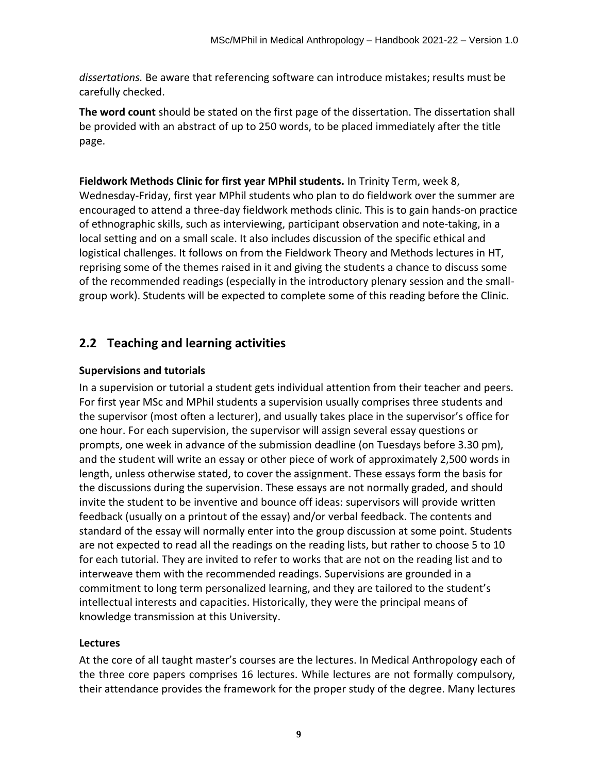*dissertations.* Be aware that referencing software can introduce mistakes; results must be carefully checked.

**The word count** should be stated on the first page of the dissertation. The dissertation shall be provided with an abstract of up to 250 words, to be placed immediately after the title page.

**Fieldwork Methods Clinic for first year MPhil students.** In Trinity Term, week 8, Wednesday-Friday, first year MPhil students who plan to do fieldwork over the summer are encouraged to attend a three-day fieldwork methods clinic. This is to gain hands-on practice of ethnographic skills, such as interviewing, participant observation and note-taking, in a local setting and on a small scale. It also includes discussion of the specific ethical and logistical challenges. It follows on from the Fieldwork Theory and Methods lectures in HT, reprising some of the themes raised in it and giving the students a chance to discuss some of the recommended readings (especially in the introductory plenary session and the smallgroup work). Students will be expected to complete some of this reading before the Clinic.

## <span id="page-9-0"></span>**2.2 Teaching and learning activities**

## **Supervisions and tutorials**

In a supervision or tutorial a student gets individual attention from their teacher and peers. For first year MSc and MPhil students a supervision usually comprises three students and the supervisor (most often a lecturer), and usually takes place in the supervisor's office for one hour. For each supervision, the supervisor will assign several essay questions or prompts, one week in advance of the submission deadline (on Tuesdays before 3.30 pm), and the student will write an essay or other piece of work of approximately 2,500 words in length, unless otherwise stated, to cover the assignment. These essays form the basis for the discussions during the supervision. These essays are not normally graded, and should invite the student to be inventive and bounce off ideas: supervisors will provide written feedback (usually on a printout of the essay) and/or verbal feedback. The contents and standard of the essay will normally enter into the group discussion at some point. Students are not expected to read all the readings on the reading lists, but rather to choose 5 to 10 for each tutorial. They are invited to refer to works that are not on the reading list and to interweave them with the recommended readings. Supervisions are grounded in a commitment to long term personalized learning, and they are tailored to the student's intellectual interests and capacities. Historically, they were the principal means of knowledge transmission at this University.

## **Lectures**

At the core of all taught master's courses are the lectures. In Medical Anthropology each of the three core papers comprises 16 lectures. While lectures are not formally compulsory, their attendance provides the framework for the proper study of the degree. Many lectures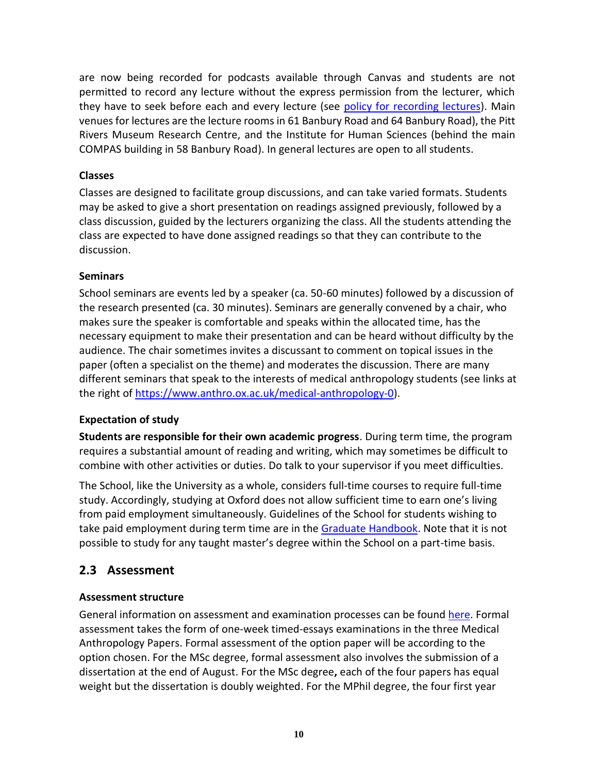are now being recorded for podcasts available through Canvas and students are not permitted to record any lecture without the express permission from the lecturer, which they have to seek before each and every lecture (see [policy for recording lectures\)](https://www.anthro.ox.ac.uk/appendix-6-school-anthropology-and-museum-ethnography-policy-audio-recording-lectures). Main venues for lectures are the lecture rooms in 61 Banbury Road and 64 Banbury Road), the Pitt Rivers Museum Research Centre, and the Institute for Human Sciences (behind the main COMPAS building in 58 Banbury Road). In general lectures are open to all students.

## **Classes**

Classes are designed to facilitate group discussions, and can take varied formats. Students may be asked to give a short presentation on readings assigned previously, followed by a class discussion, guided by the lecturers organizing the class. All the students attending the class are expected to have done assigned readings so that they can contribute to the discussion.

## **Seminars**

School seminars are events led by a speaker (ca. 50-60 minutes) followed by a discussion of the research presented (ca. 30 minutes). Seminars are generally convened by a chair, who makes sure the speaker is comfortable and speaks within the allocated time, has the necessary equipment to make their presentation and can be heard without difficulty by the audience. The chair sometimes invites a discussant to comment on topical issues in the paper (often a specialist on the theme) and moderates the discussion. There are many different seminars that speak to the interests of medical anthropology students (see links at the right of [https://www.anthro.ox.ac.uk/medical-anthropology-0\)](https://www.anthro.ox.ac.uk/medical-anthropology-0).

## **Expectation of study**

**Students are responsible for their own academic progress**. During term time, the program requires a substantial amount of reading and writing, which may sometimes be difficult to combine with other activities or duties. Do talk to your supervisor if you meet difficulties.

The School, like the University as a whole, considers full-time courses to require full-time study. Accordingly, studying at Oxford does not allow sufficient time to earn one's living from paid employment simultaneously. Guidelines of the School for students wishing to take paid employment during term time are in the [Graduate Handbook.](https://www.anthro.ox.ac.uk/student-life-and-support-information#/) Note that it is not possible to study for any taught master's degree within the School on a part-time basis.

## <span id="page-10-0"></span>**2.3 Assessment**

## **Assessment structure**

General information on assessment and examination processes can be found [here.](https://www.ox.ac.uk/students/academic/exams) Formal assessment takes the form of one-week timed-essays examinations in the three Medical Anthropology Papers. Formal assessment of the option paper will be according to the option chosen. For the MSc degree, formal assessment also involves the submission of a dissertation at the end of August. For the MSc degree**,** each of the four papers has equal weight but the dissertation is doubly weighted. For the MPhil degree, the four first year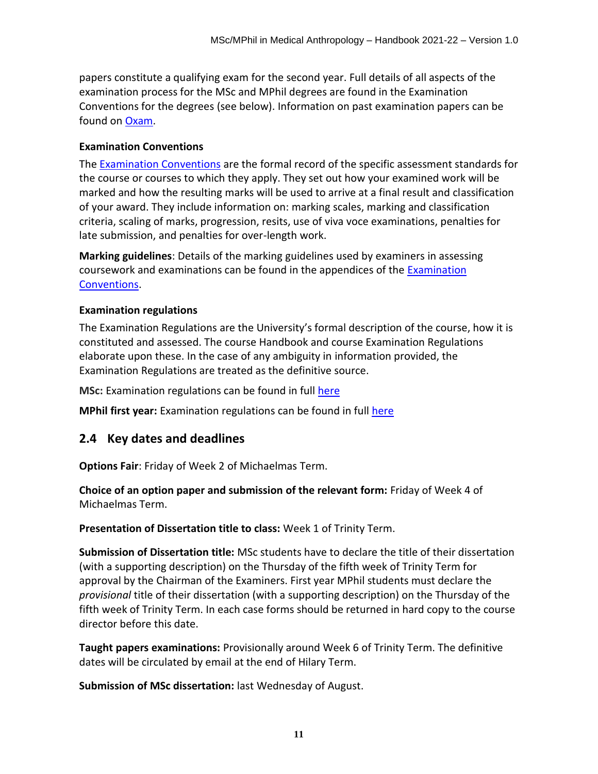papers constitute a qualifying exam for the second year. Full details of all aspects of the examination process for the MSc and MPhil degrees are found in the Examination Conventions for the degrees (see below). Information on past examination papers can be found on [Oxam.](http://oxam.ox.ac.uk/)

#### **Examination Conventions**

The [Examination Conventions](https://www.anthro.ox.ac.uk/examination-conventions-and-marking-criteria) are the formal record of the specific assessment standards for the course or courses to which they apply. They set out how your examined work will be marked and how the resulting marks will be used to arrive at a final result and classification of your award. They include information on: marking scales, marking and classification criteria, scaling of marks, progression, resits, use of viva voce examinations, penalties for late submission, and penalties for over-length work.

**Marking guidelines**: Details of the marking guidelines used by examiners in assessing coursework and examinations can be found in the appendices of the [Examination](https://www.anthro.ox.ac.uk/examination-conventions-and-marking-criteria)  [Conventions.](https://www.anthro.ox.ac.uk/examination-conventions-and-marking-criteria)

## **Examination regulations**

The Examination Regulations are the University's formal description of the course, how it is constituted and assessed. The course Handbook and course Examination Regulations elaborate upon these. In the case of any ambiguity in information provided, the Examination Regulations are treated as the definitive source.

**MSc:** Examination regulations can be found in full [here](https://examregs.admin.ox.ac.uk/Regulation?code=mosbcinmedianth&srchYear=2019&Term=1)

**MPhil first year:** Examination regulations can be found in full [here](https://examregs.admin.ox.ac.uk/Regulation?code=mopinmedianth&srchYear=2019&Term=1)

## **2.4 Key dates and deadlines**

**Options Fair**: Friday of Week 2 of Michaelmas Term.

**Choice of an option paper and submission of the relevant form:** Friday of Week 4 of Michaelmas Term.

**Presentation of Dissertation title to class:** Week 1 of Trinity Term.

**Submission of Dissertation title:** MSc students have to declare the title of their dissertation (with a supporting description) on the Thursday of the fifth week of Trinity Term for approval by the Chairman of the Examiners. First year MPhil students must declare the *provisional* title of their dissertation (with a supporting description) on the Thursday of the fifth week of Trinity Term. In each case forms should be returned in hard copy to the course director before this date.

**Taught papers examinations:** Provisionally around Week 6 of Trinity Term. The definitive dates will be circulated by email at the end of Hilary Term.

**Submission of MSc dissertation:** last Wednesday of August.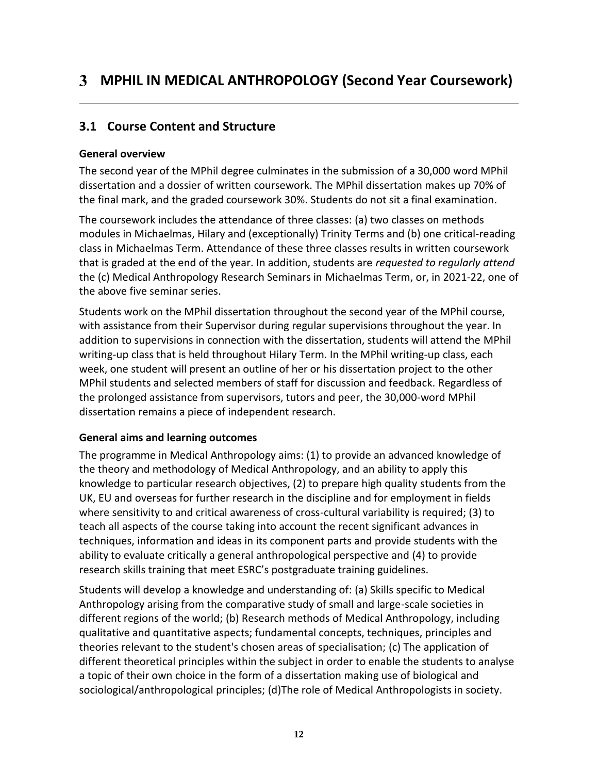## <span id="page-12-1"></span><span id="page-12-0"></span>**3.1 Course Content and Structure**

## **General overview**

The second year of the MPhil degree culminates in the submission of a 30,000 word MPhil dissertation and a dossier of written coursework. The MPhil dissertation makes up 70% of the final mark, and the graded coursework 30%. Students do not sit a final examination.

The coursework includes the attendance of three classes: (a) two classes on methods modules in Michaelmas, Hilary and (exceptionally) Trinity Terms and (b) one critical-reading class in Michaelmas Term. Attendance of these three classes results in written coursework that is graded at the end of the year. In addition, students are *requested to regularly attend* the (c) Medical Anthropology Research Seminars in Michaelmas Term, or, in 2021-22, one of the above five seminar series.

Students work on the MPhil dissertation throughout the second year of the MPhil course, with assistance from their Supervisor during regular supervisions throughout the year. In addition to supervisions in connection with the dissertation, students will attend the MPhil writing-up class that is held throughout Hilary Term. In the MPhil writing-up class, each week, one student will present an outline of her or his dissertation project to the other MPhil students and selected members of staff for discussion and feedback. Regardless of the prolonged assistance from supervisors, tutors and peer, the 30,000-word MPhil dissertation remains a piece of independent research.

## **General aims and learning outcomes**

The programme in Medical Anthropology aims: (1) to provide an advanced knowledge of the theory and methodology of Medical Anthropology, and an ability to apply this knowledge to particular research objectives, (2) to prepare high quality students from the UK, EU and overseas for further research in the discipline and for employment in fields where sensitivity to and critical awareness of cross-cultural variability is required; (3) to teach all aspects of the course taking into account the recent significant advances in techniques, information and ideas in its component parts and provide students with the ability to evaluate critically a general anthropological perspective and (4) to provide research skills training that meet ESRC's postgraduate training guidelines.

Students will develop a knowledge and understanding of: (a) Skills specific to Medical Anthropology arising from the comparative study of small and large-scale societies in different regions of the world; (b) Research methods of Medical Anthropology, including qualitative and quantitative aspects; fundamental concepts, techniques, principles and theories relevant to the student's chosen areas of specialisation; (c) The application of different theoretical principles within the subject in order to enable the students to analyse a topic of their own choice in the form of a dissertation making use of biological and sociological/anthropological principles; (d)The role of Medical Anthropologists in society.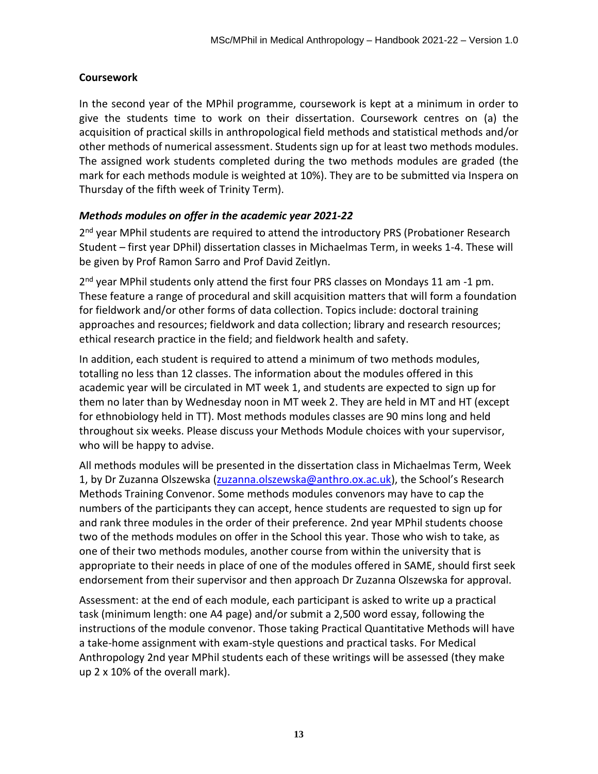#### **Coursework**

In the second year of the MPhil programme, coursework is kept at a minimum in order to give the students time to work on their dissertation. Coursework centres on (a) the acquisition of practical skills in anthropological field methods and statistical methods and/or other methods of numerical assessment. Students sign up for at least two methods modules. The assigned work students completed during the two methods modules are graded (the mark for each methods module is weighted at 10%). They are to be submitted via Inspera on Thursday of the fifth week of Trinity Term).

#### *Methods modules on offer in the academic year 2021-22*

2<sup>nd</sup> year MPhil students are required to attend the introductory PRS (Probationer Research Student – first year DPhil) dissertation classes in Michaelmas Term, in weeks 1-4. These will be given by Prof Ramon Sarro and Prof David Zeitlyn.

2<sup>nd</sup> year MPhil students only attend the first four PRS classes on Mondays 11 am -1 pm. These feature a range of procedural and skill acquisition matters that will form a foundation for fieldwork and/or other forms of data collection. Topics include: doctoral training approaches and resources; fieldwork and data collection; library and research resources; ethical research practice in the field; and fieldwork health and safety.

In addition, each student is required to attend a minimum of two methods modules, totalling no less than 12 classes. The information about the modules offered in this academic year will be circulated in MT week 1, and students are expected to sign up for them no later than by Wednesday noon in MT week 2. They are held in MT and HT (except for ethnobiology held in TT). Most methods modules classes are 90 mins long and held throughout six weeks. Please discuss your Methods Module choices with your supervisor, who will be happy to advise.

All methods modules will be presented in the dissertation class in Michaelmas Term, Week 1, by Dr Zuzanna Olszewska [\(zuzanna.olszewska@anthro.ox.ac.uk\)](mailto:zuzanna.olszewska@anthro.ox.ac.uk), the School's Research Methods Training Convenor. Some methods modules convenors may have to cap the numbers of the participants they can accept, hence students are requested to sign up for and rank three modules in the order of their preference. 2nd year MPhil students choose two of the methods modules on offer in the School this year. Those who wish to take, as one of their two methods modules, another course from within the university that is appropriate to their needs in place of one of the modules offered in SAME, should first seek endorsement from their supervisor and then approach Dr Zuzanna Olszewska for approval.

Assessment: at the end of each module, each participant is asked to write up a practical task (minimum length: one A4 page) and/or submit a 2,500 word essay, following the instructions of the module convenor. Those taking Practical Quantitative Methods will have a take-home assignment with exam-style questions and practical tasks. For Medical Anthropology 2nd year MPhil students each of these writings will be assessed (they make up 2 x 10% of the overall mark).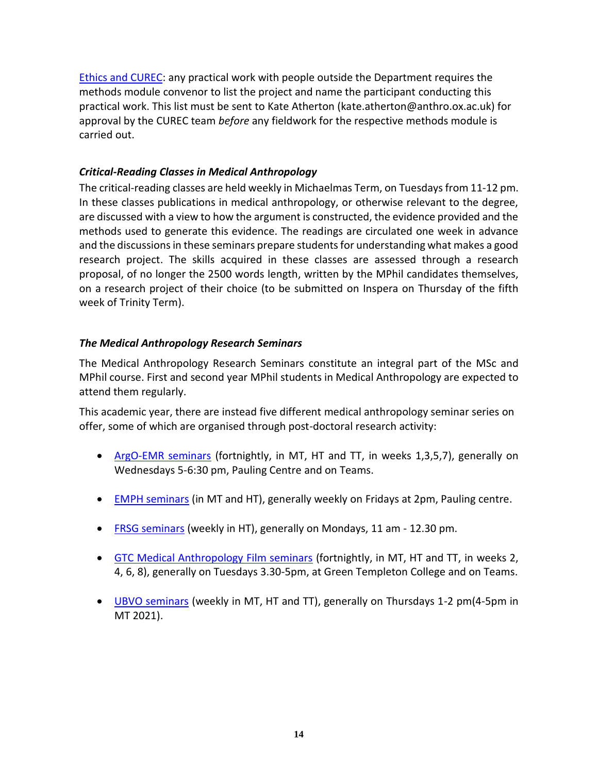[Ethics and CUREC:](https://www.anthro.ox.ac.uk/safety-fieldwork-and-ethics) any practical work with people outside the Department requires the methods module convenor to list the project and name the participant conducting this practical work. This list must be sent to Kate Atherton (kate.atherton@anthro.ox.ac.uk) for approval by the CUREC team *before* any fieldwork for the respective methods module is carried out.

## *Critical-Reading Classes in Medical Anthropology*

The critical-reading classes are held weekly in Michaelmas Term, on Tuesdays from 11-12 pm. In these classes publications in medical anthropology, or otherwise relevant to the degree, are discussed with a view to how the argument is constructed, the evidence provided and the methods used to generate this evidence. The readings are circulated one week in advance and the discussions in these seminars prepare students for understanding what makes a good research project. The skills acquired in these classes are assessed through a research proposal, of no longer the 2500 words length, written by the MPhil candidates themselves, on a research project of their choice (to be submitted on Inspera on Thursday of the fifth week of Trinity Term).

## *The Medical Anthropology Research Seminars*

The Medical Anthropology Research Seminars constitute an integral part of the MSc and MPhil course. First and second year MPhil students in Medical Anthropology are expected to attend them regularly.

This academic year, there are instead five different medical anthropology seminar series on offer, some of which are organised through post-doctoral research activity:

- [ArgO-EMR seminars](https://anthro.web.ox.ac.uk/argo-emr) (fortnightly, in MT, HT and TT, in weeks 1,3,5,7), generally on Wednesdays 5-6:30 pm, Pauling Centre and on Teams.
- [EMPH seminars](https://anthro.web.ox.ac.uk/evolutionary-medicine-and-public-health-seminars#/) (in MT and HT), generally weekly on Fridays at 2pm, Pauling centre.
- [FRSG seminars](https://anthro.web.ox.ac.uk/fertility-reproduction) (weekly in HT), generally on Mondays, 11 am 12.30 pm.
- [GTC Medical Anthropology Film seminars](https://anthro.web.ox.ac.uk/gtc-medical-anthropology-film-and-discussion-group#/tab-275191) (fortnightly, in MT, HT and TT, in weeks 2, 4, 6, 8), generally on Tuesdays 3.30-5pm, at Green Templeton College and on Teams.
- [UBVO seminars](https://www.oxfordobesity.org/seminars-and-events) (weekly in MT, HT and TT), generally on Thursdays 1-2 pm(4-5pm in MT 2021).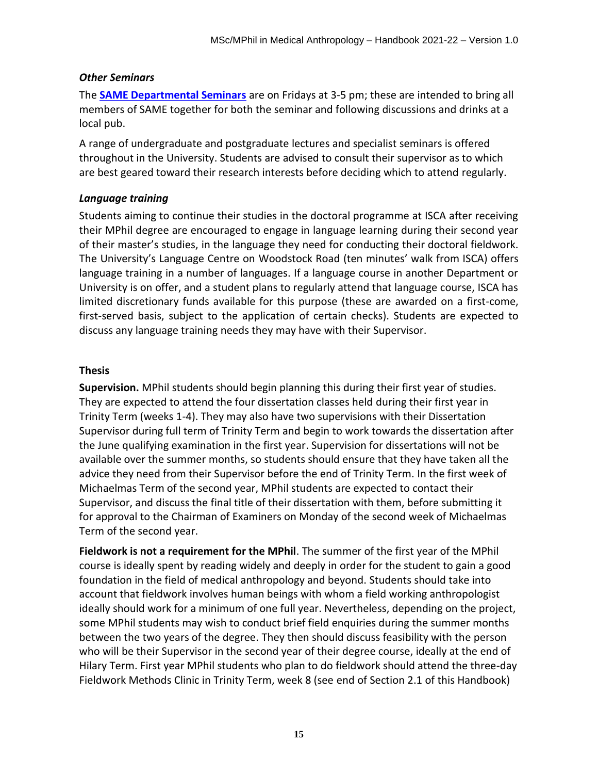#### *Other Seminars*

The **SAME [Departmental Seminars](https://www.anthro.ox.ac.uk/seminars-lectures-and-events#/)** are on Fridays at 3-5 pm; these are intended to bring all members of SAME together for both the seminar and following discussions and drinks at a local pub.

A range of undergraduate and postgraduate lectures and specialist seminars is offered throughout in the University. Students are advised to consult their supervisor as to which are best geared toward their research interests before deciding which to attend regularly.

#### *Language training*

Students aiming to continue their studies in the doctoral programme at ISCA after receiving their MPhil degree are encouraged to engage in language learning during their second year of their master's studies, in the language they need for conducting their doctoral fieldwork. The University's Language Centre on Woodstock Road (ten minutes' walk from ISCA) offers language training in a number of languages. If a language course in another Department or University is on offer, and a student plans to regularly attend that language course, ISCA has limited discretionary funds available for this purpose (these are awarded on a first-come, first-served basis, subject to the application of certain checks). Students are expected to discuss any language training needs they may have with their Supervisor.

#### **Thesis**

**Supervision.** MPhil students should begin planning this during their first year of studies. They are expected to attend the four dissertation classes held during their first year in Trinity Term (weeks 1-4). They may also have two supervisions with their Dissertation Supervisor during full term of Trinity Term and begin to work towards the dissertation after the June qualifying examination in the first year. Supervision for dissertations will not be available over the summer months, so students should ensure that they have taken all the advice they need from their Supervisor before the end of Trinity Term. In the first week of Michaelmas Term of the second year, MPhil students are expected to contact their Supervisor, and discuss the final title of their dissertation with them, before submitting it for approval to the Chairman of Examiners on Monday of the second week of Michaelmas Term of the second year.

**Fieldwork is not a requirement for the MPhil**. The summer of the first year of the MPhil course is ideally spent by reading widely and deeply in order for the student to gain a good foundation in the field of medical anthropology and beyond. Students should take into account that fieldwork involves human beings with whom a field working anthropologist ideally should work for a minimum of one full year. Nevertheless, depending on the project, some MPhil students may wish to conduct brief field enquiries during the summer months between the two years of the degree. They then should discuss feasibility with the person who will be their Supervisor in the second year of their degree course, ideally at the end of Hilary Term. First year MPhil students who plan to do fieldwork should attend the three-day Fieldwork Methods Clinic in Trinity Term, week 8 (see end of Section 2.1 of this Handbook)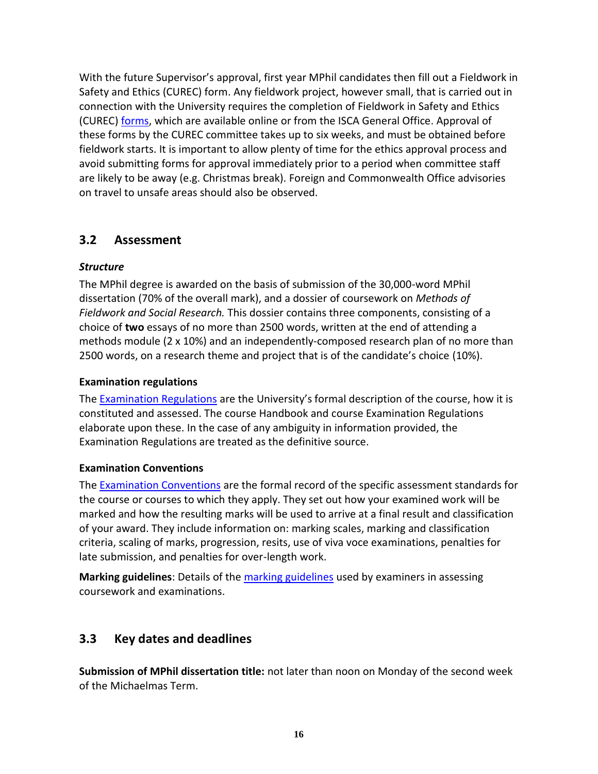With the future Supervisor's approval, first year MPhil candidates then fill out a Fieldwork in Safety and Ethics (CUREC) form. Any fieldwork project, however small, that is carried out in connection with the University requires the completion of Fieldwork in Safety and Ethics (CUREC) [forms,](https://www.anthro.ox.ac.uk/safety-fieldwork-and-ethics) which are available online or from the ISCA General Office. Approval of these forms by the CUREC committee takes up to six weeks, and must be obtained before fieldwork starts. It is important to allow plenty of time for the ethics approval process and avoid submitting forms for approval immediately prior to a period when committee staff are likely to be away (e.g. Christmas break). Foreign and Commonwealth Office advisories on travel to unsafe areas should also be observed.

## <span id="page-16-0"></span>**3.2 Assessment**

## *Structure*

The MPhil degree is awarded on the basis of submission of the 30,000-word MPhil dissertation (70% of the overall mark), and a dossier of coursework on *Methods of Fieldwork and Social Research.* This dossier contains three components, consisting of a choice of **two** essays of no more than 2500 words, written at the end of attending a methods module (2 x 10%) and an independently-composed research plan of no more than 2500 words, on a research theme and project that is of the candidate's choice (10%).

## **Examination regulations**

The [Examination Regulations](https://examregs.admin.ox.ac.uk/Regulation?code=mopinmedianth&srchYear=2019&Term=1) are the University's formal description of the course, how it is constituted and assessed. The course Handbook and course Examination Regulations elaborate upon these. In the case of any ambiguity in information provided, the Examination Regulations are treated as the definitive source.

## **Examination Conventions**

The [Examination Conventions](https://www.anthro.ox.ac.uk/examination-conventions-and-marking-criteria) are the formal record of the specific assessment standards for the course or courses to which they apply. They set out how your examined work will be marked and how the resulting marks will be used to arrive at a final result and classification of your award. They include information on: marking scales, marking and classification criteria, scaling of marks, progression, resits, use of viva voce examinations, penalties for late submission, and penalties for over-length work.

**Marking guidelines**: Details of th[e marking guidelines](https://www.anthro.ox.ac.uk/examination-conventions-and-marking-criteria) used by examiners in assessing coursework and examinations.

## **3.3 Key dates and deadlines**

**Submission of MPhil dissertation title:** not later than noon on Monday of the second week of the Michaelmas Term.